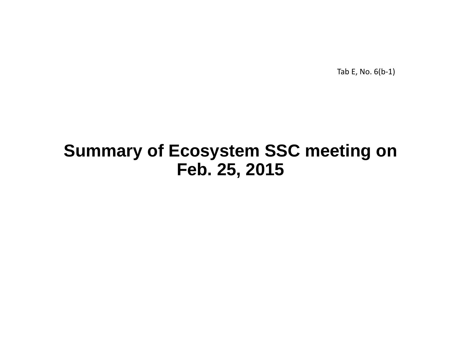Tab E, No. 6(b‐1)

# **Summary of Ecosystem SSC meeting on Feb. 25, 2015**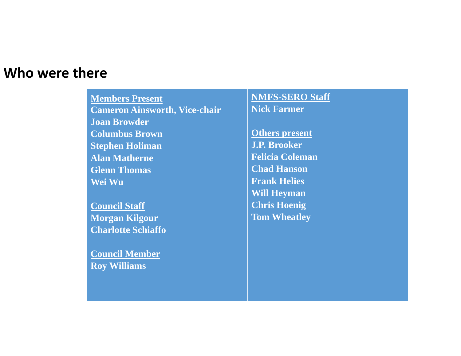#### **Who were there**

**Members Present Cameron Ainsworth, Vice-chair Joan BrowderColumbus BrownStephen Holiman Alan MatherneGlenn ThomasWei Wu**

**Council Staff Morgan Kilgour Charlotte Schiaffo**

**Council Member Roy Williams**

**NMFS-SERO Staff Nick Farmer**

**Others present J.P. BrookerFelicia ColemanChad HansonFrank HeliesWill Heyman Chris Hoenig Tom Wheatley**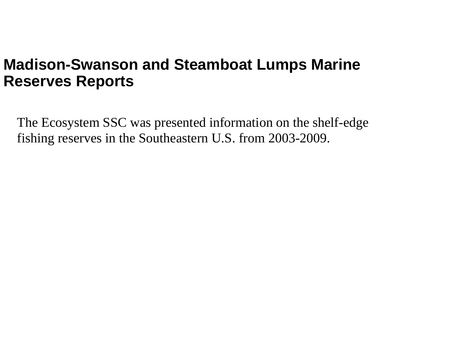# **Madison-Swanson and Steamboat Lumps Marine Reserves Reports**

The Ecosystem SSC was presented information on the shelf-edge fishing reserves in the Southeastern U.S. from 2003-2009.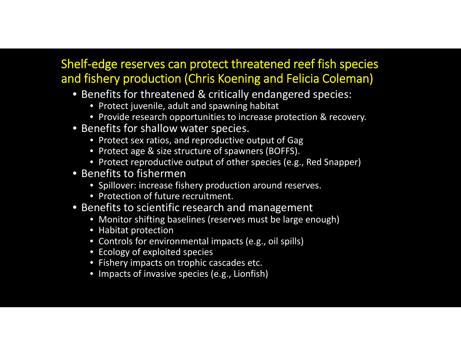#### Shelf‐edge reserves can protect threatened reef fish species and fishery production (Chris Koening and Felicia Coleman)

- Benefits for threatened & critically endangered species:
	- Protect juvenile, adult and spawning habitat
	- Provide research opportunities to increase protection & recovery.
- Benefits for shallow water species.
	- Protect sex ratios, and reproductive output of Gag
	- Protect age & size structure of spawners (BOFFS).
	- Protect reproductive output of other species (e.g., Red Snapper)
- Benefits to fishermen
	- Spillover: increase fishery production around reserves.
	- Protection of future recruitment.
- Benefits to scientific research and management
	- Monitor shifting baselines (reserves must be large enough)
	- Habitat protection
	- Controls for environmental impacts (e.g., oil spills)
	- Ecology of exploited species
	- Fishery impacts on trophic cascades etc.
	- Impacts of invasive species (e.g., Lionfish)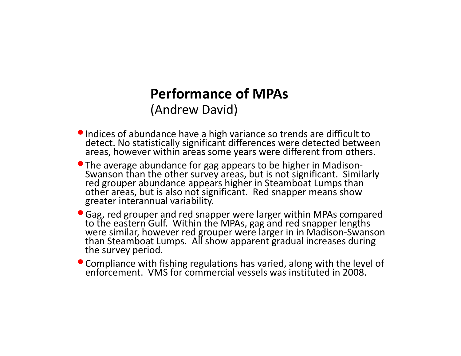#### **Performance of MPAs**

(Andrew David)

- **•** Indices of abundance have a Indices of abundance have a high variance so trends are difficult to<br>detect. No statistically significant differences were detected between areas, however within areas some years were different from others.
- The average abundance for gag appears to be higher in Madison-Swanson than the other survey areas, but is not significant. Similarly<br>red grouper abundance appears higher in Steamboat Lumps than red grouper abundance appears higher in Steamboat Lumps than other areas, but is also not significant. Red snapper means show greater interannual variability.
- •Gag, red grouper and red snapper were larger within MPAs compared to the eastern Gulf. Within the MPAs, gag and red snapper lengths were similar, however red grouper were larger in in Madison-Swanson<br>than Steamboat Lumps. All show apparent gradual increases during than Steamboat Lumps. All show apparent gradual increases during the survey period.
- $\bullet$  Compliance with fishing regulations has varied, along with the level of VMS for commercial vessels was instituted in 2008.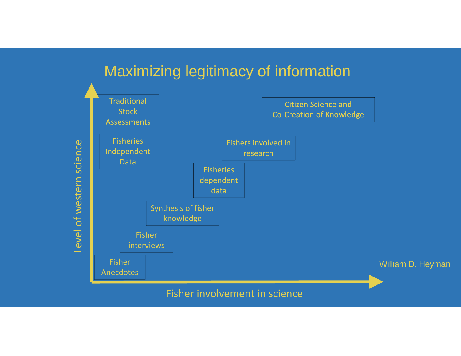#### Maximizing legitimacy of information



Fisher involvement in science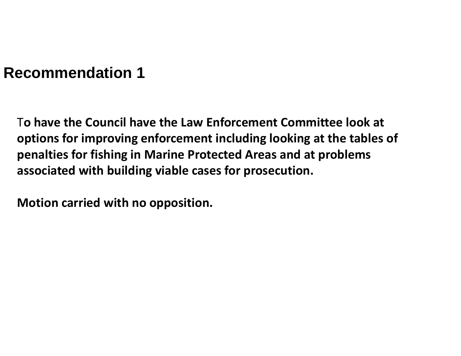T**o have the Council have the Law Enforcement Committee look at options for improving enforcement including looking at the tables of penalties for fishing in Marine Protected Areas and at problems associated with building viable cases for prosecution.**

**Motion carried with no opposition.**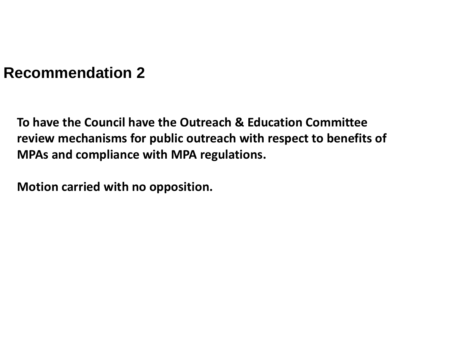**To have the Council have the Outreach & Education Committee review mechanisms for public outreach with respect to benefits of MPAs and compliance with MPA regulations.**

**Motion carried with no opposition.**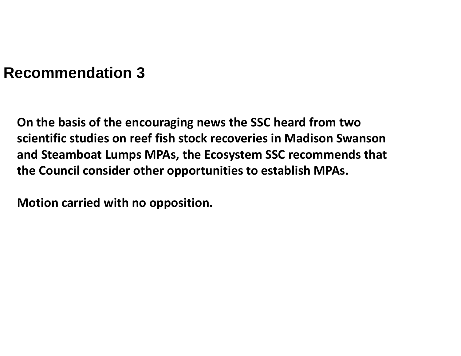**On the basis of the encouraging news the SSC heard from two scientific studies on reef fish stock recoveries in Madison Swanson and Steamboat Lumps MPAs, the Ecosystem SSC recommends that the Council consider other opportunities to establish MPAs.**

**Motion carried with no opposition.**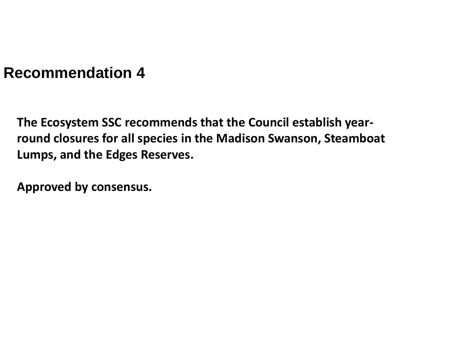**The Ecosystem SSC recommends that the Council establish year‐ round closures for all species in the Madison Swanson, Steamboat Lumps, and the Edges Reserves.**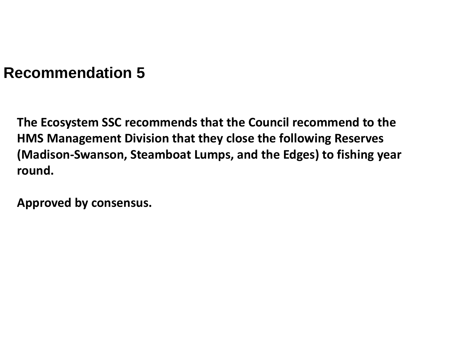**The Ecosystem SSC recommends that the Council recommend to the HMS Management Division that they close the following Reserves (Madison‐Swanson, Steamboat Lumps, and the Edges) to fishing year round.**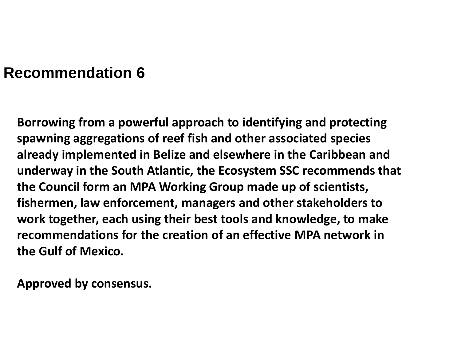**Borrowing from <sup>a</sup> powerful approach to identifying and protecting spawning aggregations of reef fish and other associated species already implemented in Belize and elsewhere in the Caribbean and underway in the South Atlantic, the Ecosystem SSC recommends that the Council form an MPA Working Group made up of scientists, fishermen, law enforcement, managers and other stakeholders to work together, each using their best tools and knowledge, to make recommendations for the creation of an effective MPA network in the Gulf of Mexico.**